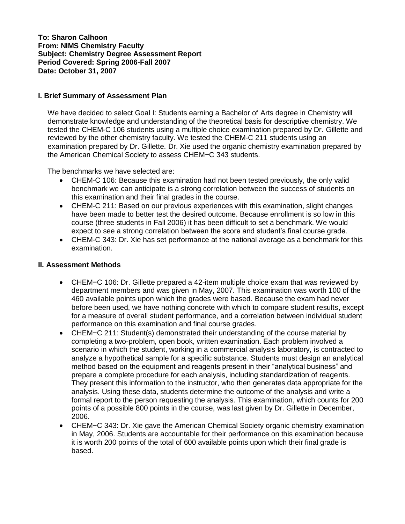**To: Sharon Calhoon From: NIMS Chemistry Faculty Subject: Chemistry Degree Assessment Report Period Covered: Spring 2006-Fall 2007 Date: October 31, 2007**

### **I. Brief Summary of Assessment Plan**

We have decided to select Goal I: Students earning a Bachelor of Arts degree in Chemistry will demonstrate knowledge and understanding of the theoretical basis for descriptive chemistry. We tested the CHEM-C 106 students using a multiple choice examination prepared by Dr. Gillette and reviewed by the other chemistry faculty. We tested the CHEM-C 211 students using an examination prepared by Dr. Gillette. Dr. Xie used the organic chemistry examination prepared by the American Chemical Society to assess CHEM−C 343 students.

The benchmarks we have selected are:

- CHEM-C 106: Because this examination had not been tested previously, the only valid  $\bullet$ benchmark we can anticipate is a strong correlation between the success of students on this examination and their final grades in the course.
- CHEM-C 211: Based on our previous experiences with this examination, slight changes have been made to better test the desired outcome. Because enrollment is so low in this course (three students in Fall 2006) it has been difficult to set a benchmark. We would expect to see a strong correlation between the score and student's final course grade.
- CHEM-C 343: Dr. Xie has set performance at the national average as a benchmark for this examination.

# **II. Assessment Methods**

- CHEM−C 106: Dr. Gillette prepared a 42-item multiple choice exam that was reviewed by department members and was given in May, 2007. This examination was worth 100 of the 460 available points upon which the grades were based. Because the exam had never before been used, we have nothing concrete with which to compare student results, except for a measure of overall student performance, and a correlation between individual student performance on this examination and final course grades.
- CHEM−C 211: Student(s) demonstrated their understanding of the course material by  $\bullet$ completing a two-problem, open book, written examination. Each problem involved a scenario in which the student, working in a commercial analysis laboratory, is contracted to analyze a hypothetical sample for a specific substance. Students must design an analytical method based on the equipment and reagents present in their "analytical business" and prepare a complete procedure for each analysis, including standardization of reagents. They present this information to the instructor, who then generates data appropriate for the analysis. Using these data, students determine the outcome of the analysis and write a formal report to the person requesting the analysis. This examination, which counts for 200 points of a possible 800 points in the course, was last given by Dr. Gillette in December, 2006.
- CHEM−C 343: Dr. Xie gave the American Chemical Society organic chemistry examination in May, 2006. Students are accountable for their performance on this examination because it is worth 200 points of the total of 600 available points upon which their final grade is based.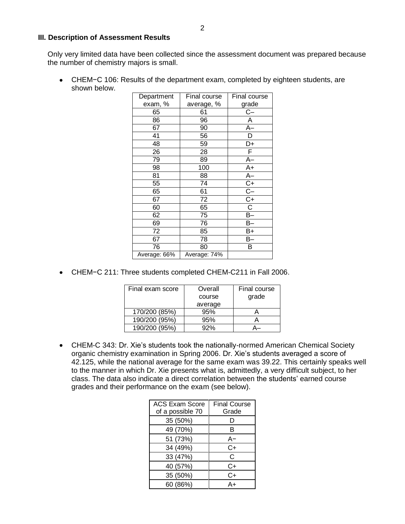#### **III. Description of Assessment Results**

Only very limited data have been collected since the assessment document was prepared because the number of chemistry majors is small.

CHEM−C 106: Results of the department exam, completed by eighteen students, are shown below.

| Department   | Final course | Final course          |
|--------------|--------------|-----------------------|
| exam, %      | average, %   | grade                 |
| 65           | 61           | C-                    |
| 86           | 96           | А                     |
| 67           | 90           | $A-$                  |
| 41           | 56           | D                     |
| 48           | 59           | D+                    |
| 26           | 28           | F.                    |
| 79           | 89           | А–                    |
| 98           | 100          | A+                    |
| 81           | 88           | $A-$                  |
| 55           | 74           |                       |
| 65           | 61           | $rac{C+}{C-}$         |
| 67           | 72           | $\overline{C+}$       |
| 60           | 65           | $\overline{\text{C}}$ |
| 62           | 75           | $B-$                  |
| 69           | 76           | B–                    |
| 72           | 85           | B+                    |
| 67           | 78           | В-                    |
| 76           | 80           | В                     |
| Average: 66% | Average: 74% |                       |

CHEM−C 211: Three students completed CHEM-C211 in Fall 2006.

| Final exam score | Overall | Final course |
|------------------|---------|--------------|
|                  | course  | grade        |
|                  | average |              |
| 170/200 (85%)    | 95%     |              |
| 190/200 (95%)    | 95%     |              |
| 190/200 (95%)    | 92%     |              |

CHEM-C 343: Dr. Xie's students took the nationally-normed American Chemical Society organic chemistry examination in Spring 2006. Dr. Xie's students averaged a score of 42.125, while the national average for the same exam was 39.22. This certainly speaks well to the manner in which Dr. Xie presents what is, admittedly, a very difficult subject, to her class. The data also indicate a direct correlation between the students' earned course grades and their performance on the exam (see below).

| <b>ACS Exam Score</b><br>of a possible 70 | <b>Final Course</b><br>Grade |
|-------------------------------------------|------------------------------|
| 35 (50%)                                  | Ð                            |
| 49 (70%)                                  | в                            |
| 51 (73%)                                  | A-                           |
| 34 (49%)                                  | C+                           |
| 33 (47%)                                  | C                            |
| 40 (57%)                                  | C+                           |
| 35 (50%)                                  | C+                           |
| 60 (86%)                                  | Δ⊥                           |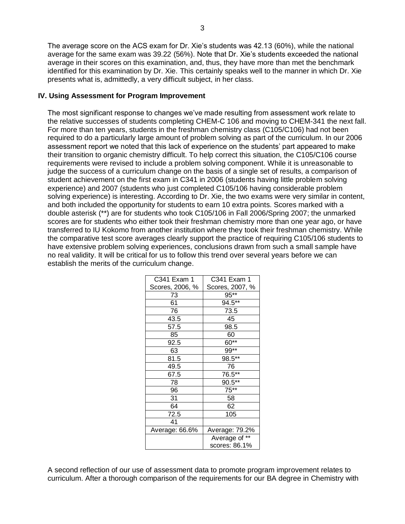The average score on the ACS exam for Dr. Xie's students was 42.13 (60%), while the national average for the same exam was 39.22 (56%). Note that Dr. Xie's students exceeded the national average in their scores on this examination, and, thus, they have more than met the benchmark identified for this examination by Dr. Xie. This certainly speaks well to the manner in which Dr. Xie presents what is, admittedly, a very difficult subject, in her class.

# **IV. Using Assessment for Program Improvement**

The most significant response to changes we've made resulting from assessment work relate to the relative successes of students completing CHEM-C 106 and moving to CHEM-341 the next fall. For more than ten years, students in the freshman chemistry class (C105/C106) had not been required to do a particularly large amount of problem solving as part of the curriculum. In our 2006 assessment report we noted that this lack of experience on the students' part appeared to make their transition to organic chemistry difficult. To help correct this situation, the C105/C106 course requirements were revised to include a problem solving component. While it is unreasonable to judge the success of a curriculum change on the basis of a single set of results, a comparison of student achievement on the first exam in C341 in 2006 (students having little problem solving experience) and 2007 (students who just completed C105/106 having considerable problem solving experience) is interesting. According to Dr. Xie, the two exams were very similar in content, and both included the opportunity for students to earn 10 extra points. Scores marked with a double asterisk (\*\*) are for students who took C105/106 in Fall 2006/Spring 2007; the unmarked scores are for students who either took their freshman chemistry more than one year ago, or have transferred to IU Kokomo from another institution where they took their freshman chemistry. While the comparative test score averages clearly support the practice of requiring C105/106 students to have extensive problem solving experiences, conclusions drawn from such a small sample have no real validity. It will be critical for us to follow this trend over several years before we can establish the merits of the curriculum change.

| C341 Exam 1     | C341 Exam 1     |
|-----------------|-----------------|
| Scores, 2006, % | Scores, 2007, % |
| 73              | 95**            |
| 61              | 94.5**          |
| 76              | 73.5            |
| 43.5            | 45              |
| 57.5            | 98.5            |
| 85              | 60              |
| 92.5            | $60**$          |
| 63              | 99**            |
| 81.5            | 98.5**          |
| 49.5            | 76              |
| 67.5            | 76.5**          |
| 78              | 90.5**          |
| 96              | $75***$         |
| 31              | 58              |
| 64              | 62              |
| 72.5            | 105             |
| 41              |                 |
| Average: 66.6%  | Average: 79.2%  |
|                 | Average of **   |
|                 | scores: 86.1%   |

A second reflection of our use of assessment data to promote program improvement relates to curriculum. After a thorough comparison of the requirements for our BA degree in Chemistry with